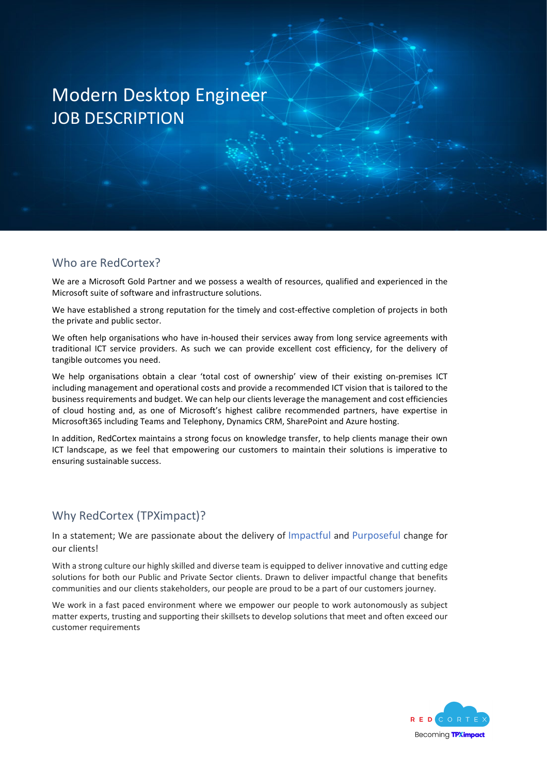#### Who are RedCortex?

We are a Microsoft Gold Partner and we possess a wealth of resources, qualified and experienced in the Microsoft suite of software and infrastructure solutions.

We have established a strong reputation for the timely and cost-effective completion of projects in both the private and public sector.

We often help organisations who have in-housed their services away from long service agreements with traditional ICT service providers. As such we can provide excellent cost efficiency, for the delivery of tangible outcomes you need.

We help organisations obtain a clear 'total cost of ownership' view of their existing on-premises ICT including management and operational costs and provide a recommended ICT vision that is tailored to the business requirements and budget. We can help our clients leverage the management and cost efficiencies of cloud hosting and, as one of Microsoft's highest calibre recommended partners, have expertise in Microsoft365 including Teams and Telephony, Dynamics CRM, SharePoint and Azure hosting.

In addition, RedCortex maintains a strong focus on knowledge transfer, to help clients manage their own ICT landscape, as we feel that empowering our customers to maintain their solutions is imperative to ensuring sustainable success.

#### Why RedCortex (TPXimpact)?

In a statement; We are passionate about the delivery of Impactful and Purposeful change for our clients!

With a strong culture our highly skilled and diverse team is equipped to deliver innovative and cutting edge solutions for both our Public and Private Sector clients. Drawn to deliver impactful change that benefits communities and our clients stakeholders, our people are proud to be a part of our customers journey.

We work in a fast paced environment where we empower our people to work autonomously as subject matter experts, trusting and supporting their skillsets to develop solutions that meet and often exceed our customer requirements

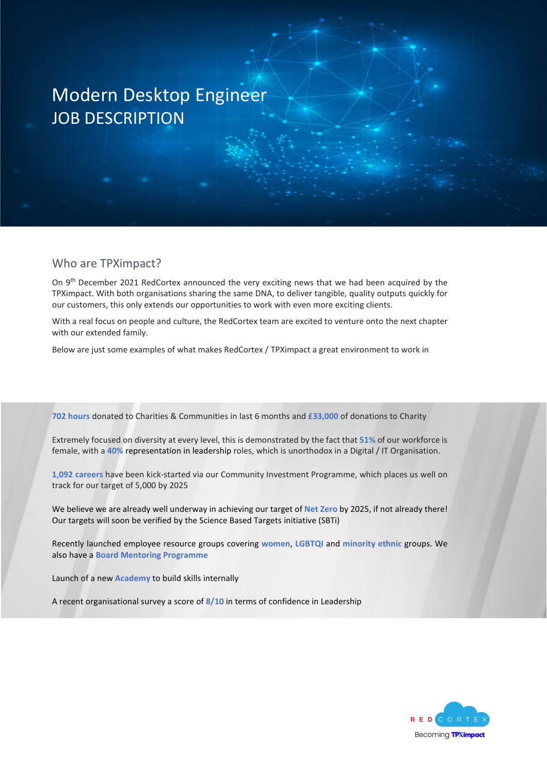#### Who are TPXimpact?

On 9<sup>th</sup> December 2021 RedCortex announced the very exciting news that we had been acquired by the TPXimpact. With both organisations sharing the same DNA, to deliver tangible, quality outputs quickly for our customers, this only extends our opportunities to work with even more exciting clients.

With a real focus on people and culture, the RedCortex team are excited to venture onto the next chapter with our extended family.

Below are just some examples of what makes RedCortex / TPXimpact a great environment to work in

**702 hours** donated to Charities & Communities in last 6 months and **£33,000** of donations to Charity

Extremely focused on diversity at every level, this is demonstrated by the fact that **51%** of our workforce is female, with a **40%** representation in leadership roles, which is unorthodox in a Digital / IT Organisation.

**1,092 careers** have been kick-started via our Community Investment Programme, which places us well on track for our target of 5,000 by 2025

We believe we are already well underway in achieving our target of **Net Zero** by 2025, if not already there! Our targets will soon be verified by the Science Based Targets initiative (SBTi)

Recently launched employee resource groups covering **women**, **LGBTQI** and **minority ethnic** groups. We also have a **Board Mentoring Programme**

Launch of a new **Academy** to build skills internally

A recent organisational survey a score of **8/10** in terms of confidence in Leadership

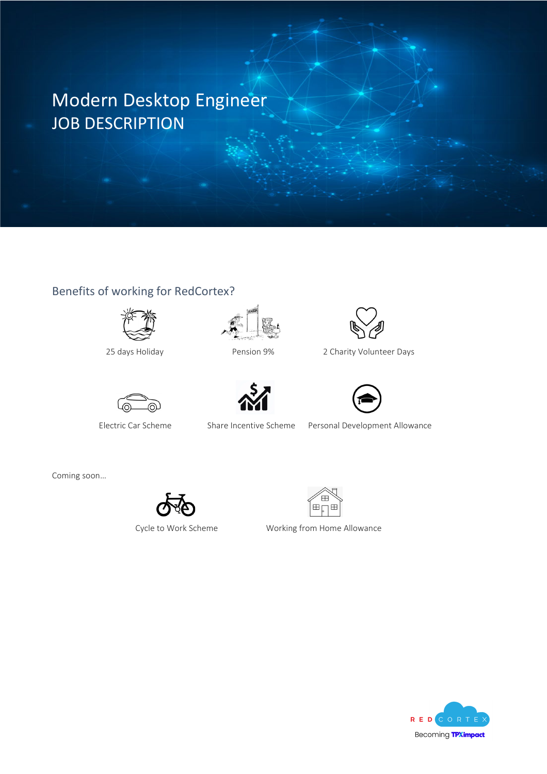### Benefits of working for RedCortex?









25 days Holiday Pension 9% 2 Charity Volunteer Days



Electric Car Scheme Share Incentive Scheme Personal Development Allowance

Coming soon…





Cycle to Work Scheme Working from Home Allowance

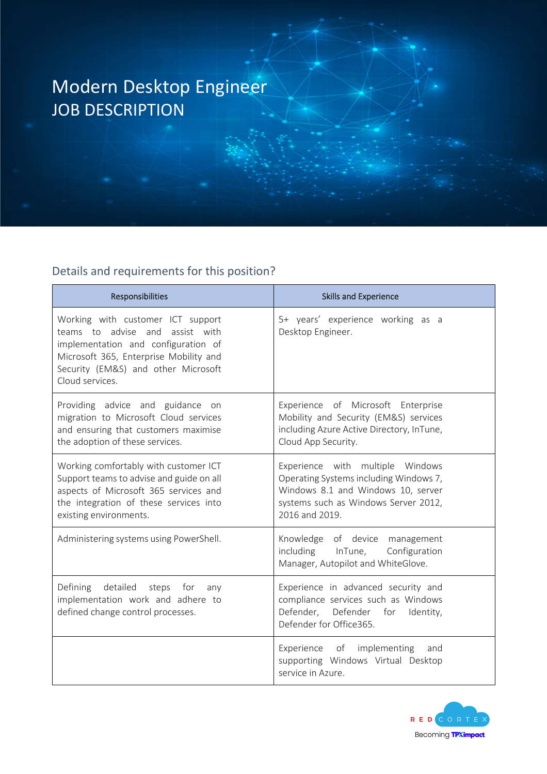### Details and requirements for this position?

| Responsibilities                                                                                                                                                                                                | <b>Skills and Experience</b>                                                                                                                                               |
|-----------------------------------------------------------------------------------------------------------------------------------------------------------------------------------------------------------------|----------------------------------------------------------------------------------------------------------------------------------------------------------------------------|
| Working with customer ICT support<br>teams to advise and assist with<br>implementation and configuration of<br>Microsoft 365, Enterprise Mobility and<br>Security (EM&S) and other Microsoft<br>Cloud services. | 5+ years' experience working as a<br>Desktop Engineer.                                                                                                                     |
| Providing advice and guidance on<br>migration to Microsoft Cloud services<br>and ensuring that customers maximise<br>the adoption of these services.                                                            | Experience of Microsoft Enterprise<br>Mobility and Security (EM&S) services<br>including Azure Active Directory, InTune,<br>Cloud App Security.                            |
| Working comfortably with customer ICT<br>Support teams to advise and guide on all<br>aspects of Microsoft 365 services and<br>the integration of these services into<br>existing environments.                  | Experience with multiple Windows<br>Operating Systems including Windows 7,<br>Windows 8.1 and Windows 10, server<br>systems such as Windows Server 2012,<br>2016 and 2019. |
| Administering systems using PowerShell.                                                                                                                                                                         | Knowledge of device management<br>including InTune,<br>Configuration<br>Manager, Autopilot and WhiteGlove.                                                                 |
| Defining<br>detailed steps<br>for<br>any<br>implementation work and adhere to<br>defined change control processes.                                                                                              | Experience in advanced security and<br>compliance services such as Windows<br>Defender, Defender for<br>Identity,<br>Defender for Office365.                               |
|                                                                                                                                                                                                                 | Experience of implementing<br>and<br>supporting Windows Virtual Desktop<br>service in Azure.                                                                               |